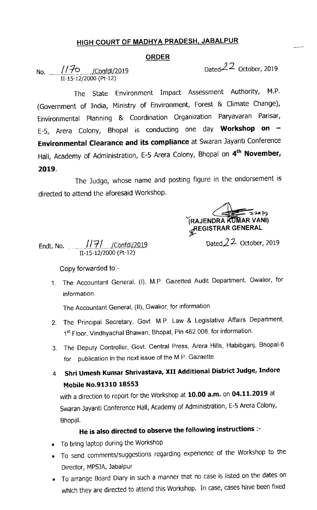## HIGH COURT OF MADHYA PRADESH, JABALPUR

## ORDER

No. 1170 / Confdl/2019 II-15-12/2000 (Pt-12)

Dated $22$  October, 2019

The State Environment Impact Assessment Authority, M.P. (Government of India, Ministry of Environment, Forest & Climate Change), Environmental Planning & Coordination Organization Paryavaran Parisar, E-5, Arera Colony, Bhopal is conducting one day **Workshop on** -Environmental Clearance and its compliance at Swaran Jayanti Conference Hall, Academy of Administration, E-5 Arera Colony, Bhopal on 4<sup>th</sup> November, 2019.

The Judge, whose name and posting figure in the endorsement is directed to attend the aforesaid Workshop.

RAJENDRA KUMAR VANI) **REGISTRAR GENERAL** 

Dated  $22$  October, 2019

Endt. NO. \_\_JJ1\_I\_ifeQrif±JJ2ne 11-15-12/2000 (Pt-12)

Copy forwarded to:-

1. The Accountant General, (I), M.P. Gazetted Audit Department, Gwallor, for information.

The Accountant General, (II), Gwallor, for information.

- 2. The Principal Secretary, Govt. M.P. Law & Legislative Affairs Department, 1st Floor, Vindhyachal Bhawan, Bhopal, Pin 462 006, for information.
- 3. The Deputy Controller, Govt. Central Press, Arera HIIls, Habibganj, Bhopal-6 for publication in the next issue of the M.P. Gazaette
- 4 Shri Umesh Kumar Shrivastava, XII Additional District Judge, Indore Mobile No.91310 18553

with a direction to report for the Workshop at 10.00 a.m. on 04.11.2019 at Swaran Jayanti Conference Hall, Academy of Administration, E-5 Arera Colony, Bhopal.

## He is also directed to observe the following instructions :-

- To bring laptop during the Workshop
- To send comments/suggestions regarding experience of the Workshop to the Director, MPSJA, Jabalpur
- To arrange Board Diary in such a manner that no case is listed on the dates on which they are directed to attend this Workshop. In case, cases have been fixed